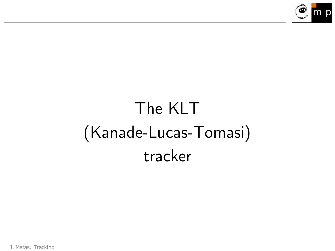

# The KLT (Kanade-Lucas-Tomasi) tracker

J. Matas, Tracking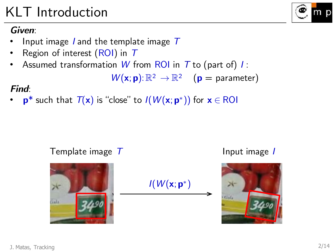Gala

## KLT Introduction

### *Given*:

- Input image I and the template image *T*
- Region of interest (ROI) in *T*
- Assumed transformation W from ROI in *T* to (part of) *I* :

$$
\mathsf{W}(\mathbf{x};\mathbf{p})\text{:}\ \mathbb{R}^2\ \rightarrow\mathbb{R}^2\quad \ (\mathbf{p}=\text{parameter})
$$

#### *Find*:

•  $\mathbf{p}^*$  such that  $T(\mathbf{x})$  is "close" to  $I(W(\mathbf{x};\mathbf{p}^*))$  for  $\mathbf{x} \in \text{ROI}$ 

#### Template image  $T$  and input image *I*

 $I(W(x; \mathbf{p}^*))$ 



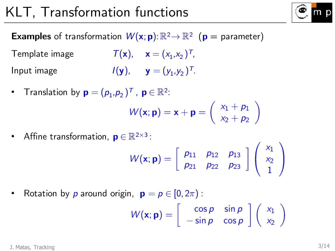## KLT, Transformation functions



**Examples** of transformation  $W(\mathbf{x}; \mathbf{p})$ :  $\mathbb{R}^2 \to \mathbb{R}^2$  ( $\mathbf{p} =$  parameter)

Template image  $\mathcal{T}(\mathsf{x})$ ,  $\mathsf{x} = (x_1, x_2)^\mathsf{T}$ , Input image  $I(\mathbf{y}), \quad \mathbf{y} = (y_1, y_2)^T$ .

• Translation by  $\mathbf{p}=(p_1,p_2)^T$ ,  $\mathbf{p}\in\mathbb{R}^2$ :

$$
W(\mathbf{x};\mathbf{p}) = \mathbf{x} + \mathbf{p} = \left(\begin{array}{c} x_1 + p_1 \\ x_2 + p_2 \end{array}\right)
$$

• Affine transformation,  $\mathbf{p} \in \mathbb{R}^{2 \times 3}$ :

$$
W(\mathbf{x};\mathbf{p}) = \left[\begin{array}{cc} p_{11} & p_{12} & p_{13} \\ p_{21} & p_{22} & p_{23} \end{array}\right] \left(\begin{array}{c} x_1 \\ x_2 \\ 1 \end{array}\right)
$$

• Rotation by  $p$  around origin,  $\mathbf{p} = p \in [0, 2\pi)$ :

$$
W(\mathbf{x}; \mathbf{p}) = \begin{bmatrix} \cos p & \sin p \\ -\sin p & \cos p \end{bmatrix} \begin{pmatrix} x_1 \\ x_2 \end{pmatrix}
$$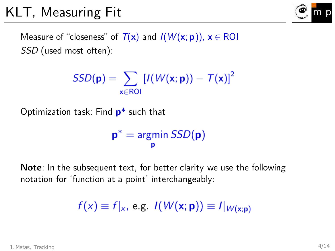

Measure of "closeness" of  $T(x)$  and  $I(W(x; p))$ ,  $x \in \text{ROI}$ *SSD* (used most often):

$$
SSD(\mathbf{p}) = \sum_{\mathbf{x} \in \text{ROI}} \left[ I(W(\mathbf{x}; \mathbf{p})) - T(\mathbf{x}) \right]^2
$$

Optimization task: Find **p**\* such that

$$
\mathbf{p}^* = \underset{\mathbf{p}}{\text{argmin}} \: SSD(\mathbf{p})
$$

**Note**: In the subsequent text, for better clarity we use the following notation for 'function at a point' interchangeably:

$$
f(x) \equiv f|_x, \text{ e.g. } I(W(\mathbf{x}; \mathbf{p})) \equiv I|_{W(\mathbf{x}; \mathbf{p})}
$$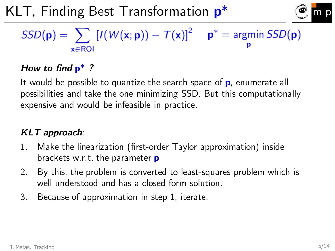KLT, Finding Best Transformation **p**\*



## $SSD(\mathbf{p}) = \sum \left[ I(W(\mathbf{x}; \mathbf{p})) - T(\mathbf{x}) \right]^2$   $\mathbf{p}^* = \text{argmin } SSD(\mathbf{p})$  $x \in \text{ROI}$

#### *How to find* **p**\* *?*

It would be possible to quantize the search space of **p**, enumerate all possibilities and take the one minimizing SSD. But this computationally expensive and would be infeasible in practice.

### *KLT approach*:

- 1. Make the linearization (first-order Taylor approximation) inside brackets w.r.t. the parameter **p**
- 2. By this, the problem is converted to least-squares problem which is well understood and has a closed-form solution.
- 3. Because of approximation in step 1, iterate.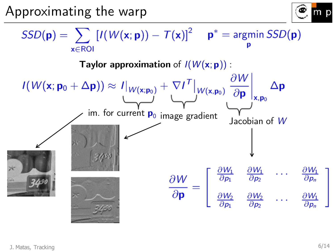Approximating the warp



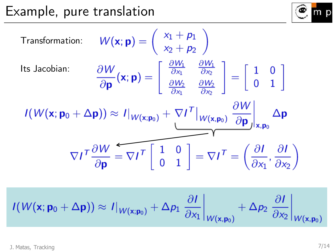

Transformation: 
$$
W(\mathbf{x}; \mathbf{p}) = \begin{pmatrix} x_1 + p_1 \\ x_2 + p_2 \end{pmatrix}
$$
  
\nIts Jacobian:  $\frac{\partial W}{\partial \mathbf{p}}(\mathbf{x}; \mathbf{p}) = \begin{bmatrix} \frac{\partial W_1}{\partial x_1} & \frac{\partial W_1}{\partial x_2} \\ \frac{\partial W_2}{\partial x_1} & \frac{\partial W_2}{\partial x_2} \end{bmatrix} = \begin{bmatrix} 1 & 0 \\ 0 & 1 \end{bmatrix}$   
\n $I(W(\mathbf{x}; \mathbf{p}_0 + \Delta \mathbf{p})) \approx I|_{W(\mathbf{x}; \mathbf{p}_0)} + \nabla I^T|_{W(\mathbf{x}, \mathbf{p}_0)} \frac{\partial W}{\partial \mathbf{p}}|_{\mathbf{x}, \mathbf{p}_0} \Delta \mathbf{p}$   
\n $\nabla I^T \frac{\partial W}{\partial \mathbf{p}} = \nabla I^T \begin{bmatrix} 1 & 0 \\ 0 & 1 \end{bmatrix} = \nabla I^T = \left(\frac{\partial I}{\partial x_1}, \frac{\partial I}{\partial x_2}\right)$ 

 $I(W(\mathbf{x}; \mathbf{p}_0 + \Delta \mathbf{p})) \approx I|_{W(\mathbf{x}; \mathbf{p}_0)} + \Delta p_1 \frac{\partial I}{\partial x_1}\bigg|_{W(\mathbf{x}, \mathbf{p}_0)} + \Delta p_2 \frac{\partial I}{\partial x_2}\bigg|_{W(\mathbf{x}, \mathbf{p}_0)}$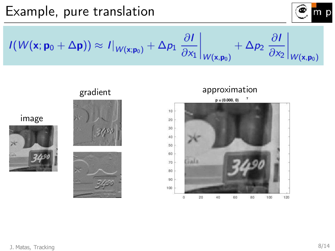

 $I(W(\mathbf{x}; \mathbf{p}_0 + \Delta \mathbf{p})) \approx I|_{W(\mathbf{x}; \mathbf{p}_0)} + \Delta p_1 \left. \frac{\partial I}{\partial x_1} \right|_{W(\mathbf{x}, \mathbf{p}_0)}$  $+\Delta p_2 \left.\frac{\partial I}{\partial x_2}\right|_{W(\mathbf{x}, \mathbf{p}_0)}$ 







Gala

image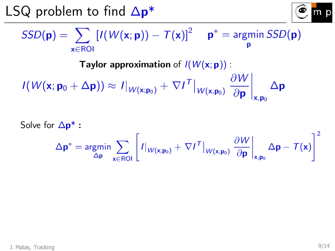LSQ problem to find Δ**p**\*



$$
SSD(\mathbf{p}) = \sum_{\mathbf{x} \in \text{ROI}} \left[ I(W(\mathbf{x}; \mathbf{p})) - T(\mathbf{x}) \right]^2 \quad \mathbf{p}^* = \underset{\mathbf{p}}{\text{argmin}} \; SSD(\mathbf{p})
$$

Taylor approximation of 
$$
I(W(\mathbf{x}; \mathbf{p})
$$
)

\n
$$
I(W(\mathbf{x}; \mathbf{p}_0 + \Delta \mathbf{p})) \approx I|_{W(\mathbf{x}; \mathbf{p}_0)} + \nabla I^T|_{W(\mathbf{x}, \mathbf{p}_0)} \left. \frac{\partial W}{\partial \mathbf{p}} \right|_{\mathbf{x}, \mathbf{p}_0} \Delta \mathbf{p}
$$

Solve for 
$$
\Delta \mathbf{p}^*
$$
:  
\n
$$
\Delta \mathbf{p}^* = \underset{\Delta \mathbf{p}}{\text{argmin}} \sum_{\mathbf{x} \in \text{ROI}} \left[ I|_{W(\mathbf{x}; \mathbf{p}_0)} + \nabla I^T|_{W(\mathbf{x}, \mathbf{p}_0)} \frac{\partial W}{\partial \mathbf{p}} \Big|_{\mathbf{x}, \mathbf{p}_0} \Delta \mathbf{p} - T(\mathbf{x}) \right]^2
$$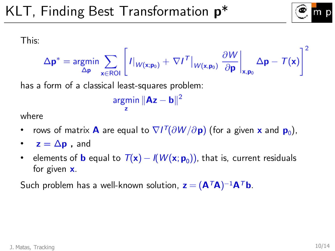

This:

$$
\Delta \mathbf{p}^* = \underset{\Delta \mathbf{p}}{\text{argmin}} \sum_{\mathbf{x} \in \text{ROI}} \left[ I|_{W(\mathbf{x}; \mathbf{p}_0)} + \nabla I^T|_{W(\mathbf{x}, \mathbf{p}_0)} \frac{\partial W}{\partial \mathbf{p}} \right]_{\mathbf{x}, \mathbf{p}_0} \Delta \mathbf{p} - T(\mathbf{x}) \right]^2
$$

has a form of a classical least-squares problem:

$$
\underset{\mathbf{z}}{\text{argmin}} \|\mathbf{A}\mathbf{z} - \mathbf{b}\|^2
$$

where

- rows of matrix  $\mathbf{A}$  are equal to  $\nabla I^{\mathsf{T}}(\partial W/\partial \mathbf{p})$  (for a given  $\mathbf{x}$  and  $\mathbf{p}_0$ ),
- $z = \Delta p$ , and
- elements of **b** equal to  $T(\mathbf{x}) I(W(\mathbf{x}; \mathbf{p}_0))$ , that is, current residuals for given **x**.

Such problem has a well-known solution,  $\mathbf{z} = (\mathbf{A}^T \mathbf{A})^{-1} \mathbf{A}^T \mathbf{b}$ .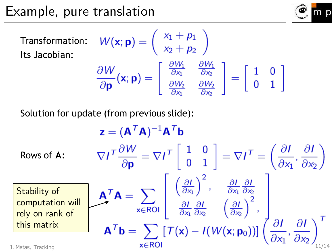**Transformation** Its Jacobian:

$$
W(\mathbf{x}; \mathbf{p}) = \begin{pmatrix} x_1 + p_1 \\ x_2 + p_2 \end{pmatrix}
$$

$$
\frac{\partial W}{\partial \mathbf{p}}(\mathbf{x}; \mathbf{p}) = \begin{bmatrix} \frac{\partial W_1}{\partial x_1} & \frac{\partial W_1}{\partial x_2} \\ \frac{\partial W_2}{\partial x_1} & \frac{\partial W_2}{\partial x_2} \end{bmatrix} = \begin{bmatrix} 1 & 0 \\ 0 & 1 \end{bmatrix}
$$

Solution for update (from previous slide):

| z = (A <sup>T</sup> A) <sup>-1</sup> A <sup>T</sup> b           |                                                                                                                                                                                                                                                                                                                                                                                                                                       |
|-----------------------------------------------------------------|---------------------------------------------------------------------------------------------------------------------------------------------------------------------------------------------------------------------------------------------------------------------------------------------------------------------------------------------------------------------------------------------------------------------------------------|
| Rows of A:                                                      | $\nabla I^T \frac{\partial W}{\partial \mathbf{p}} = \nabla I^T \begin{bmatrix} 1 & 0 \\ 0 & 1 \end{bmatrix} = \nabla I^T = \left(\frac{\partial I}{\partial x_1}, \frac{\partial I}{\partial x_2}\right)$                                                                                                                                                                                                                            |
| Stability of computation will<br>computation will<br>relational | $A^T A = \sum_{x \in ROI} \begin{bmatrix} \left(\frac{\partial I}{\partial x_1}\right)^2, & \frac{\partial I}{\partial x_1} \frac{\partial I}{\partial x_2} \\ \frac{\partial I}{\partial x_1} \frac{\partial I}{\partial x_2} & \left(\frac{\partial I}{\partial x_2}\right)^2, \\ \frac{\partial I}{\partial x_1} \frac{\partial I}{\partial x_2} & \frac{\partial I}{\partial x_1}, \frac{\partial I}{\partial x_2} \end{bmatrix}$ |
| This matrix                                                     | $A^T b = \sum_{x \in ROI} [T(x) - I(W(x; p_0))] \left(\frac{\partial I}{\partial x_1}, \frac{\partial I}{\partial x_2}\right)_{1/14}^T$                                                                                                                                                                                                                                                                                               |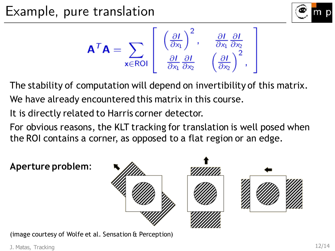



The stability of computation will depend on invertibility of this matrix. We have already encountered this matrix in this course.

It is directly related to Harris corner detector.

For obvious reasons, the KLT tracking for translation is well posed when the ROI contains a corner, as opposed to a flat region or an edge.

**Aperture problem**:



(image courtesy of Wolfe et al. Sensation & Perception)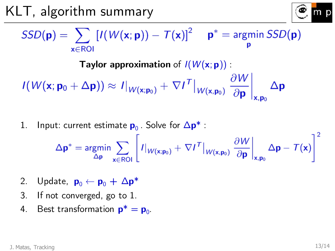KLT, algorithm summary



$$
SSD(\mathbf{p}) = \sum_{\mathbf{x} \in \text{ROI}} \left[ I(W(\mathbf{x}; \mathbf{p})) - T(\mathbf{x}) \right]^2 \quad \mathbf{p}^* = \operatorname*{argmin}_{\mathbf{p}} SSD(\mathbf{p})
$$

Taylor approximation of 
$$
I(W(\mathbf{x}; \mathbf{p})
$$
)

\n
$$
I(W(\mathbf{x}; \mathbf{p}_0 + \Delta \mathbf{p})) \approx I|_{W(\mathbf{x}; \mathbf{p}_0)} + \nabla I^T|_{W(\mathbf{x}, \mathbf{p}_0)} \left. \frac{\partial W}{\partial \mathbf{p}} \right|_{\mathbf{x}, \mathbf{p}_0} \Delta \mathbf{p}
$$

1. Input: current estimate  $\mathbf{p}_0$ . Solve for  $\Delta \mathbf{p}^*$  :

$$
\Delta \mathbf{p}^* = \underset{\Delta \mathbf{p}}{\text{argmin}} \sum_{\mathbf{x} \in \text{ROI}} \left[ I|_{W(\mathbf{x}; \mathbf{p}_0)} + \nabla I^T|_{W(\mathbf{x}, \mathbf{p}_0)} \left. \frac{\partial W}{\partial \mathbf{p}} \right|_{\mathbf{x}, \mathbf{p}_0} \Delta \mathbf{p} - T(\mathbf{x}) \right]^2
$$

- 2. Update,  $\mathbf{p}_0 \leftarrow \mathbf{p}_0 + \Delta \mathbf{p}^*$
- 3. If not converged, go to 1.
- 4. Best transformation  $\mathbf{p}^* = \mathbf{p}_0$ .